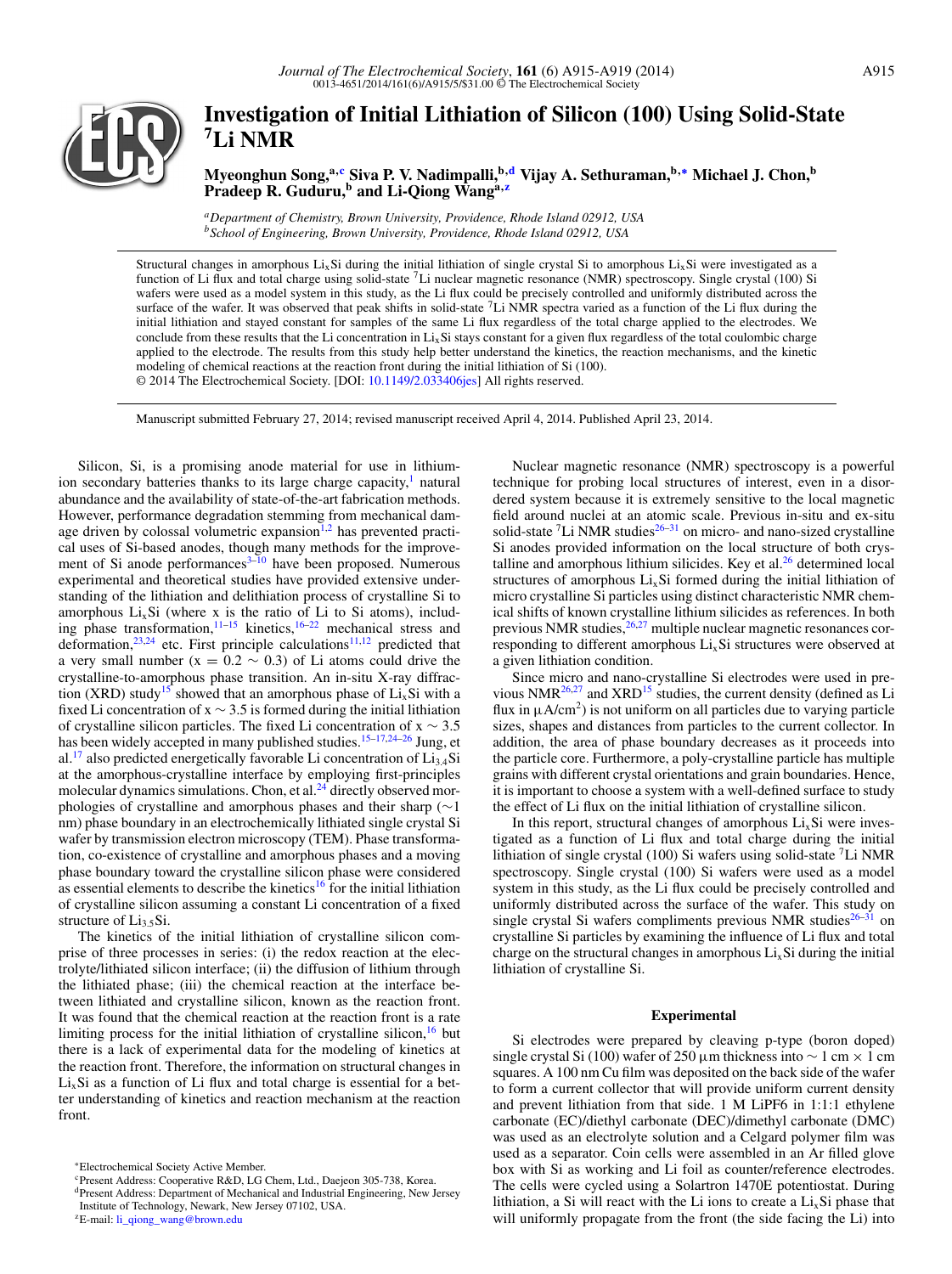

# **Investigation of Initial Lithiation of Silicon (100) Using Solid-State 7Li NMR**

**Myeonghun Song,a[,c](#page-0-0) Siva P. V. Nadimpalli,b[,d](#page-0-1) Vijay A. Sethuraman,b,[∗](#page-0-2) Michael J. Chon,b Pradeep R. Guduru,<sup>b</sup> and Li-Qiong Wanga[,z](#page-0-3)**

*aDepartment of Chemistry, Brown University, Providence, Rhode Island 02912, USA bSchool of Engineering, Brown University, Providence, Rhode Island 02912, USA*

Structural changes in amorphous Li<sub>x</sub>Si during the initial lithiation of single crystal Si to amorphous Li<sub>x</sub>Si were investigated as a function of Li flux and total charge using solid-state  ${}^{7}$ Li nuclear magnetic resonance (NMR) spectroscopy. Single crystal (100) Si wafers were used as a model system in this study, as the Li flux could be precisely controlled and uniformly distributed across the surface of the wafer. It was observed that peak shifts in solid-state  $^7$ Li NMR spectra varied as a function of the Li flux during the initial lithiation and stayed constant for samples of the same Li flux regardless of the total charge applied to the electrodes. We conclude from these results that the Li concentration in  $Li<sub>x</sub>Si$  stays constant for a given flux regardless of the total coulombic charge applied to the electrode. The results from this study help better understand the kinetics, the reaction mechanisms, and the kinetic modeling of chemical reactions at the reaction front during the initial lithiation of Si (100). © 2014 The Electrochemical Society. [DOI: [10.1149/2.033406jes\]](http://dx.doi.org/10.1149/2.033406jes) All rights reserved.

Manuscript submitted February 27, 2014; revised manuscript received April 4, 2014. Published April 23, 2014.

Silicon, Si, is a promising anode material for use in lithiumion secondary batteries thanks to its large charge capacity, $<sup>1</sup>$  natural</sup> abundance and the availability of state-of-the-art fabrication methods. However, performance degradation stemming from mechanical dam-age driven by colossal volumetric expansion<sup>1[,2](#page-4-1)</sup> has prevented practical uses of Si-based anodes, though many methods for the improvement of Si anode performances $3-10$  $3-10$  have been proposed. Numerous experimental and theoretical studies have provided extensive understanding of the lithiation and delithiation process of crystalline Si to amorphous  $Li<sub>x</sub>Si$  (where x is the ratio of Li to Si atoms), including phase transformation, $11-15$  kinetics,  $16-22$  mechanical stress and deformation, $23,24$  $23,24$  etc. First principle calculations<sup>[11,](#page-4-4)[12](#page-4-10)</sup> predicted that a very small number ( $x = 0.2 \sim 0.3$ ) of Li atoms could drive the crystalline-to-amorphous phase transition. An in-situ X-ray diffrac-tion (XRD) study<sup>[15](#page-4-5)</sup> showed that an amorphous phase of  $Li<sub>x</sub>Si$  with a fixed Li concentration of  $x \sim 3.5$  is formed during the initial lithiation of crystalline silicon particles. The fixed Li concentration of x ∼ 3.5 has been widely accepted in many published studies.<sup>15-[17](#page-4-11)[,24](#page-4-9)-26</sup> Jung, et al.<sup>17</sup> also predicted energetically favorable Li concentration of  $Li<sub>3.4</sub>Si$ at the amorphous-crystalline interface by employing first-principles molecular dynamics simulations. Chon, et al.<sup>24</sup> directly observed morphologies of crystalline and amorphous phases and their sharp (∼1 nm) phase boundary in an electrochemically lithiated single crystal Si wafer by transmission electron microscopy (TEM). Phase transformation, co-existence of crystalline and amorphous phases and a moving phase boundary toward the crystalline silicon phase were considered as essential elements to describe the kinetics<sup>[16](#page-4-6)</sup> for the initial lithiation of crystalline silicon assuming a constant Li concentration of a fixed structure of  $Li<sub>3.5</sub>Si$ .

The kinetics of the initial lithiation of crystalline silicon comprise of three processes in series: (i) the redox reaction at the electrolyte/lithiated silicon interface; (ii) the diffusion of lithium through the lithiated phase; (iii) the chemical reaction at the interface between lithiated and crystalline silicon, known as the reaction front. It was found that the chemical reaction at the reaction front is a rate limiting process for the initial lithiation of crystalline silicon, $16$  but there is a lack of experimental data for the modeling of kinetics at the reaction front. Therefore, the information on structural changes in  $Li<sub>x</sub>Si$  as a function of Li flux and total charge is essential for a better understanding of kinetics and reaction mechanism at the reaction front.

Nuclear magnetic resonance (NMR) spectroscopy is a powerful technique for probing local structures of interest, even in a disordered system because it is extremely sensitive to the local magnetic field around nuclei at an atomic scale. Previous in-situ and ex-situ solid-state  ${}^{7}$ Li NMR studies<sup>26–[31](#page-4-13)</sup> on micro- and nano-sized crystalline Si anodes provided information on the local structure of both crystalline and amorphous lithium silicides. Key et al. $^{26}$  determined local structures of amorphous  $Li<sub>x</sub>Si$  formed during the initial lithiation of micro crystalline Si particles using distinct characteristic NMR chemical shifts of known crystalline lithium silicides as references. In both previous NMR studies, $26,27$  $26,27$  multiple nuclear magnetic resonances corresponding to different amorphous  $Li<sub>x</sub>Si$  structures were observed at a given lithiation condition.

Since micro and nano-crystalline Si electrodes were used in previous NMR[26](#page-4-12)[,27](#page-4-14) and XRD[15](#page-4-5) studies, the current density (defined as Li flux in  $\mu A/cm^2$ ) is not uniform on all particles due to varying particle sizes, shapes and distances from particles to the current collector. In addition, the area of phase boundary decreases as it proceeds into the particle core. Furthermore, a poly-crystalline particle has multiple grains with different crystal orientations and grain boundaries. Hence, it is important to choose a system with a well-defined surface to study the effect of Li flux on the initial lithiation of crystalline silicon.

In this report, structural changes of amorphous  $Li<sub>x</sub>Si$  were investigated as a function of Li flux and total charge during the initial lithiation of single crystal (100) Si wafers using solid-state  ${}^{7}$ Li NMR spectroscopy. Single crystal (100) Si wafers were used as a model system in this study, as the Li flux could be precisely controlled and uniformly distributed across the surface of the wafer. This study on single crystal Si wafers compliments previous NMR studies $26-31$  $26-31$  on crystalline Si particles by examining the influence of Li flux and total charge on the structural changes in amorphous  $Li<sub>x</sub>Si$  during the initial lithiation of crystalline Si.

#### **Experimental**

Si electrodes were prepared by cleaving p-type (boron doped) single crystal Si (100) wafer of 250 µm thickness into  $\sim 1$  cm  $\times 1$  cm squares. A 100 nm Cu film was deposited on the back side of the wafer to form a current collector that will provide uniform current density and prevent lithiation from that side. 1 M LiPF6 in 1:1:1 ethylene carbonate (EC)/diethyl carbonate (DEC)/dimethyl carbonate (DMC) was used as an electrolyte solution and a Celgard polymer film was used as a separator. Coin cells were assembled in an Ar filled glove box with Si as working and Li foil as counter/reference electrodes. The cells were cycled using a Solartron 1470E potentiostat. During lithiation, a Si will react with the Li ions to create a  $Li<sub>x</sub>Si$  phase that will uniformly propagate from the front (the side facing the Li) into

<span id="page-0-2"></span><sup>∗</sup>Electrochemical Society Active Member.

<span id="page-0-0"></span>cPresent Address: Cooperative R&D, LG Chem, Ltd., Daejeon 305-738, Korea.

<span id="page-0-1"></span>dPresent Address: Department of Mechanical and Industrial Engineering, New Jersey Institute of Technology, Newark, New Jersey 07102, USA.

<span id="page-0-3"></span><sup>&</sup>lt;sup>z</sup>E-mail: [li\\_qiong\\_wang@brown.edu](mailto:li_qiong_wang@brown.edu)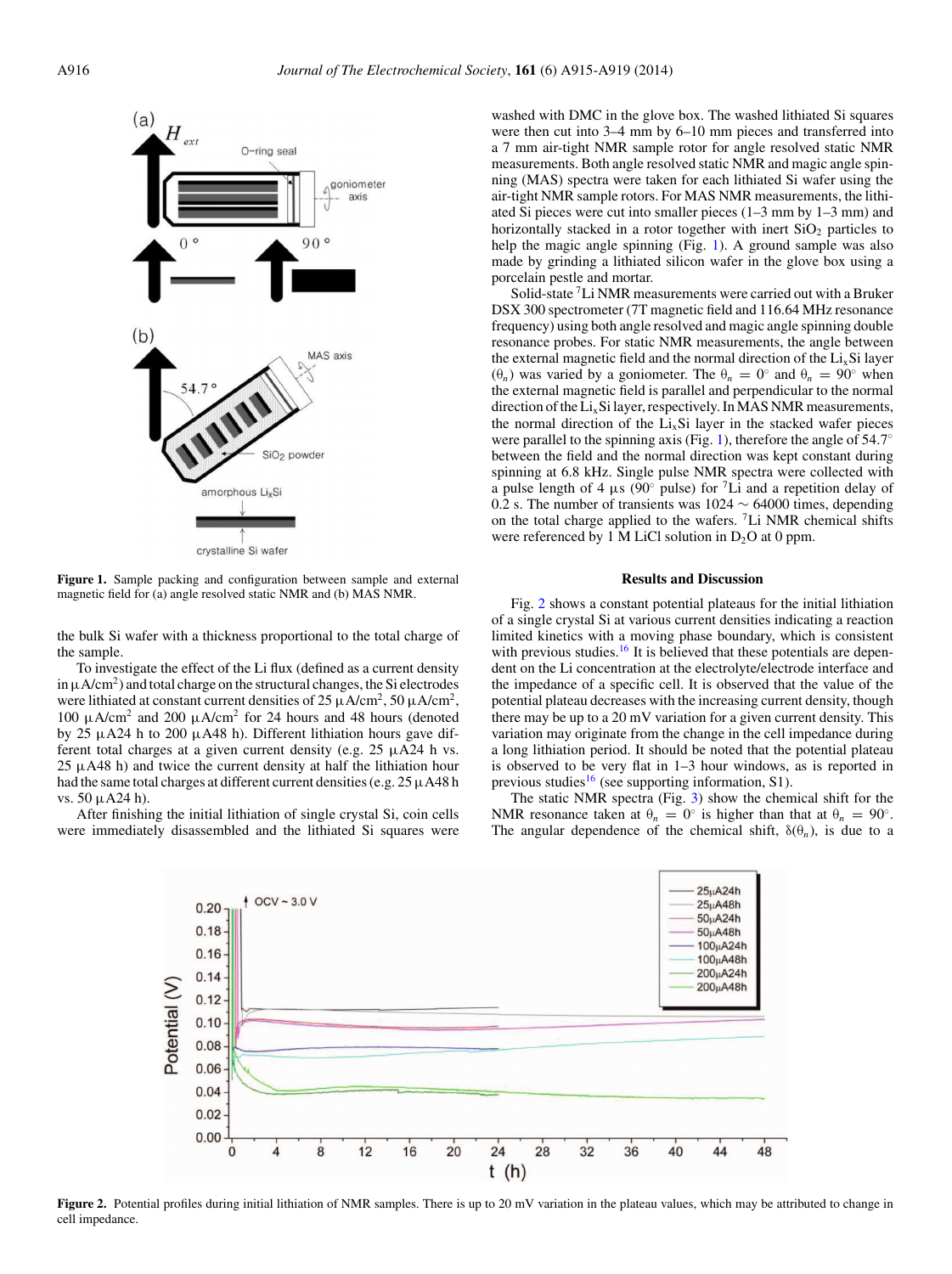<span id="page-1-0"></span>

**Figure 1.** Sample packing and configuration between sample and external magnetic field for (a) angle resolved static NMR and (b) MAS NMR.

the bulk Si wafer with a thickness proportional to the total charge of the sample.

To investigate the effect of the Li flux (defined as a current density in  $\mu$ A/cm<sup>2</sup>) and total charge on the structural changes, the Si electrodes were lithiated at constant current densities of  $25 \mu A/cm^2$ ,  $50 \mu A/cm^2$ , 100 μA/cm<sup>2</sup> and 200 μA/cm<sup>2</sup> for 24 hours and 48 hours (denoted by 25 μA24 h to 200 μA48 h). Different lithiation hours gave different total charges at a given current density (e.g. 25 μA24 h vs.  $25 \mu A48$  h) and twice the current density at half the lithiation hour had the same total charges at different current densities (e.g.  $25 \mu A48$  h vs. 50 μA24 h).

<span id="page-1-1"></span>After finishing the initial lithiation of single crystal Si, coin cells were immediately disassembled and the lithiated Si squares were washed with DMC in the glove box. The washed lithiated Si squares were then cut into 3–4 mm by 6–10 mm pieces and transferred into a 7 mm air-tight NMR sample rotor for angle resolved static NMR measurements. Both angle resolved static NMR and magic angle spinning (MAS) spectra were taken for each lithiated Si wafer using the air-tight NMR sample rotors. For MAS NMR measurements, the lithiated Si pieces were cut into smaller pieces (1–3 mm by 1–3 mm) and horizontally stacked in a rotor together with inert  $SiO<sub>2</sub>$  particles to help the magic angle spinning (Fig. [1\)](#page-1-0). A ground sample was also made by grinding a lithiated silicon wafer in the glove box using a porcelain pestle and mortar.

Solid-state 7Li NMR measurements were carried out with a Bruker DSX 300 spectrometer (7T magnetic field and 116.64 MHz resonance frequency) using both angle resolved and magic angle spinning double resonance probes. For static NMR measurements, the angle between the external magnetic field and the normal direction of the  $Li<sub>x</sub>Si$  layer (θ*<sup>n</sup>* ) was varied by a goniometer. The θ*<sup>n</sup>* = 0◦ and θ*<sup>n</sup>* = 90◦ when the external magnetic field is parallel and perpendicular to the normal direction of the  $Li<sub>x</sub>Si$  layer, respectively. In MAS NMR measurements, the normal direction of the  $Li<sub>x</sub>Si$  layer in the stacked wafer pieces were parallel to the spinning axis (Fig. [1\)](#page-1-0), therefore the angle of  $54.7°$ between the field and the normal direction was kept constant during spinning at 6.8 kHz. Single pulse NMR spectra were collected with a pulse length of 4  $\mu$ s (90° pulse) for <sup>7</sup>Li and a repetition delay of 0.2 s. The number of transients was 1024 ∼ 64000 times, depending on the total charge applied to the wafers. 7Li NMR chemical shifts were referenced by 1 M LiCl solution in  $D_2O$  at 0 ppm.

## **Results and Discussion**

Fig. [2](#page-1-1) shows a constant potential plateaus for the initial lithiation of a single crystal Si at various current densities indicating a reaction limited kinetics with a moving phase boundary, which is consistent with previous studies.<sup>16</sup> It is believed that these potentials are dependent on the Li concentration at the electrolyte/electrode interface and the impedance of a specific cell. It is observed that the value of the potential plateau decreases with the increasing current density, though there may be up to a 20 mV variation for a given current density. This variation may originate from the change in the cell impedance during a long lithiation period. It should be noted that the potential plateau is observed to be very flat in 1–3 hour windows, as is reported in previous studies<sup>16</sup> (see supporting information, S1).

The static NMR spectra (Fig. [3\)](#page-2-0) show the chemical shift for the NMR resonance taken at  $\theta_n = 0^\circ$  is higher than that at  $\theta_n = 90^\circ$ . The angular dependence of the chemical shift,  $\delta(\theta_n)$ , is due to a



Figure 2. Potential profiles during initial lithiation of NMR samples. There is up to 20 mV variation in the plateau values, which may be attributed to change in cell impedance.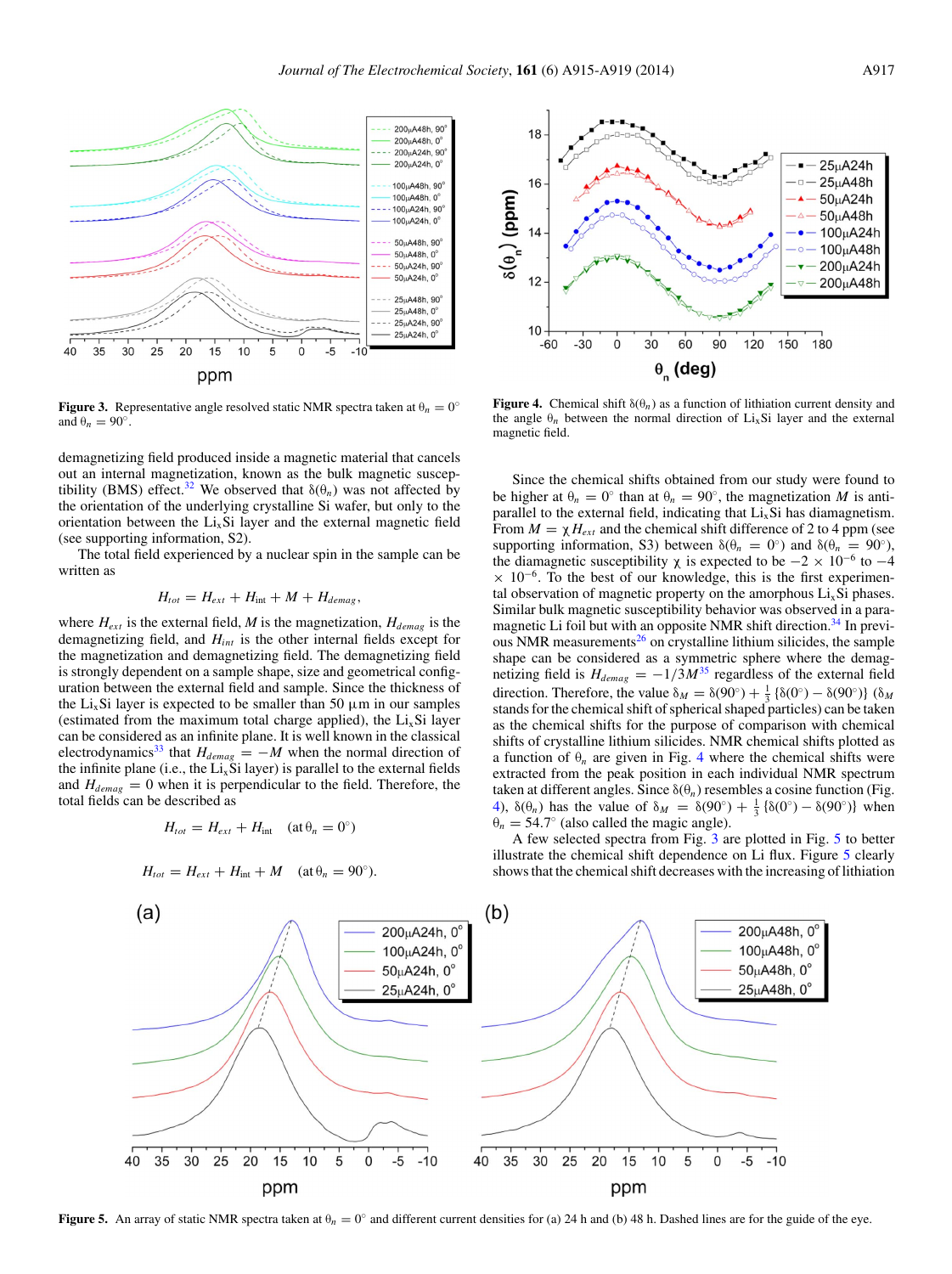<span id="page-2-0"></span>

**Figure 3.** Representative angle resolved static NMR spectra taken at  $\theta_n = 0^\circ$ and  $\theta_n = 90^\circ$ .

demagnetizing field produced inside a magnetic material that cancels out an internal magnetization, known as the bulk magnetic suscep-tibility (BMS) effect.<sup>[32](#page-4-15)</sup> We observed that  $\delta(\theta_n)$  was not affected by the orientation of the underlying crystalline Si wafer, but only to the orientation between the  $Li<sub>x</sub>Si$  layer and the external magnetic field (see supporting information, S2).

The total field experienced by a nuclear spin in the sample can be written as

$$
H_{tot} = H_{ext} + H_{int} + M + H_{demag},
$$

where  $H_{ext}$  is the external field, *M* is the magnetization,  $H_{demag}$  is the demagnetizing field, and *Hint* is the other internal fields except for the magnetization and demagnetizing field. The demagnetizing field is strongly dependent on a sample shape, size and geometrical configuration between the external field and sample. Since the thickness of the Li<sub>x</sub>Si layer is expected to be smaller than 50  $\mu$ m in our samples (estimated from the maximum total charge applied), the  $Li<sub>x</sub>Si$  layer can be considered as an infinite plane. It is well known in the classical electrodynamics<sup>33</sup> that  $H_{demag} = -M$  when the normal direction of the infinite plane (i.e., the  $Li<sub>x</sub>Si$  layer) is parallel to the external fields and  $H_{demag} = 0$  when it is perpendicular to the field. Therefore, the total fields can be described as

$$
H_{tot} = H_{ext} + H_{int} \quad (\text{at } \theta_n = 0^\circ)
$$

$$
H_{tot} = H_{ext} + H_{int} + M \quad (\text{at } \theta_n = 90^\circ).
$$

<span id="page-2-1"></span>

**Figure 4.** Chemical shift  $\delta(\theta_n)$  as a function of lithiation current density and the angle  $\theta_n$  between the normal direction of Li<sub>x</sub>Si layer and the external magnetic field.

Since the chemical shifts obtained from our study were found to be higher at  $\theta_n = 0^\circ$  than at  $\theta_n = 90^\circ$ , the magnetization *M* is antiparallel to the external field, indicating that  $Li<sub>x</sub>Si$  has diamagnetism. From  $M = \chi H_{ext}$  and the chemical shift difference of 2 to 4 ppm (see supporting information, S3) between  $\delta(\theta_n = 0^{\circ})$  and  $\delta(\theta_n = 90^{\circ})$ , the diamagnetic susceptibility  $\chi$  is expected to be  $-2 \times 10^{-6}$  to  $-4$  $\times$  10<sup>-6</sup>. To the best of our knowledge, this is the first experimental observation of magnetic property on the amorphous  $Li<sub>x</sub>Si$  phases. Similar bulk magnetic susceptibility behavior was observed in a paramagnetic Li foil but with an opposite NMR shift direction.<sup>34</sup> In previ-ous NMR measurements<sup>[26](#page-4-12)</sup> on crystalline lithium silicides, the sample shape can be considered as a symmetric sphere where the demagnetizing field is  $H_{demag} = -1/3M^{35}$  $H_{demag} = -1/3M^{35}$  $H_{demag} = -1/3M^{35}$  regardless of the external field direction. Therefore, the value  $\delta_M = \delta(90^\circ) + \frac{1}{3} \{ \delta(0^\circ) - \delta(90^\circ) \}$  ( $\delta_M$ stands for the chemical shift of spherical shaped particles) can be taken as the chemical shifts for the purpose of comparison with chemical shifts of crystalline lithium silicides. NMR chemical shifts plotted as a function of  $\theta_n$  are given in Fig. [4](#page-2-1) where the chemical shifts were extracted from the peak position in each individual NMR spectrum taken at different angles. Since  $\delta(\theta_n)$  resembles a cosine function (Fig. [4\)](#page-2-1),  $\delta(\theta_n)$  has the value of  $\delta_M = \delta(90^\circ) + \frac{1}{3} \{ \delta(0^\circ) - \delta(90^\circ) \}$  when  $\theta_n = 54.7^\circ$  (also called the magic angle).

A few selected spectra from Fig. [3](#page-2-0) are plotted in Fig. [5](#page-2-2) to better illustrate the chemical shift dependence on Li flux. Figure [5](#page-2-2) clearly shows that the chemical shift decreases with the increasing of lithiation

<span id="page-2-2"></span>

**Figure 5.** An array of static NMR spectra taken at  $\theta_n = 0^\circ$  and different current densities for (a) 24 h and (b) 48 h. Dashed lines are for the guide of the eye.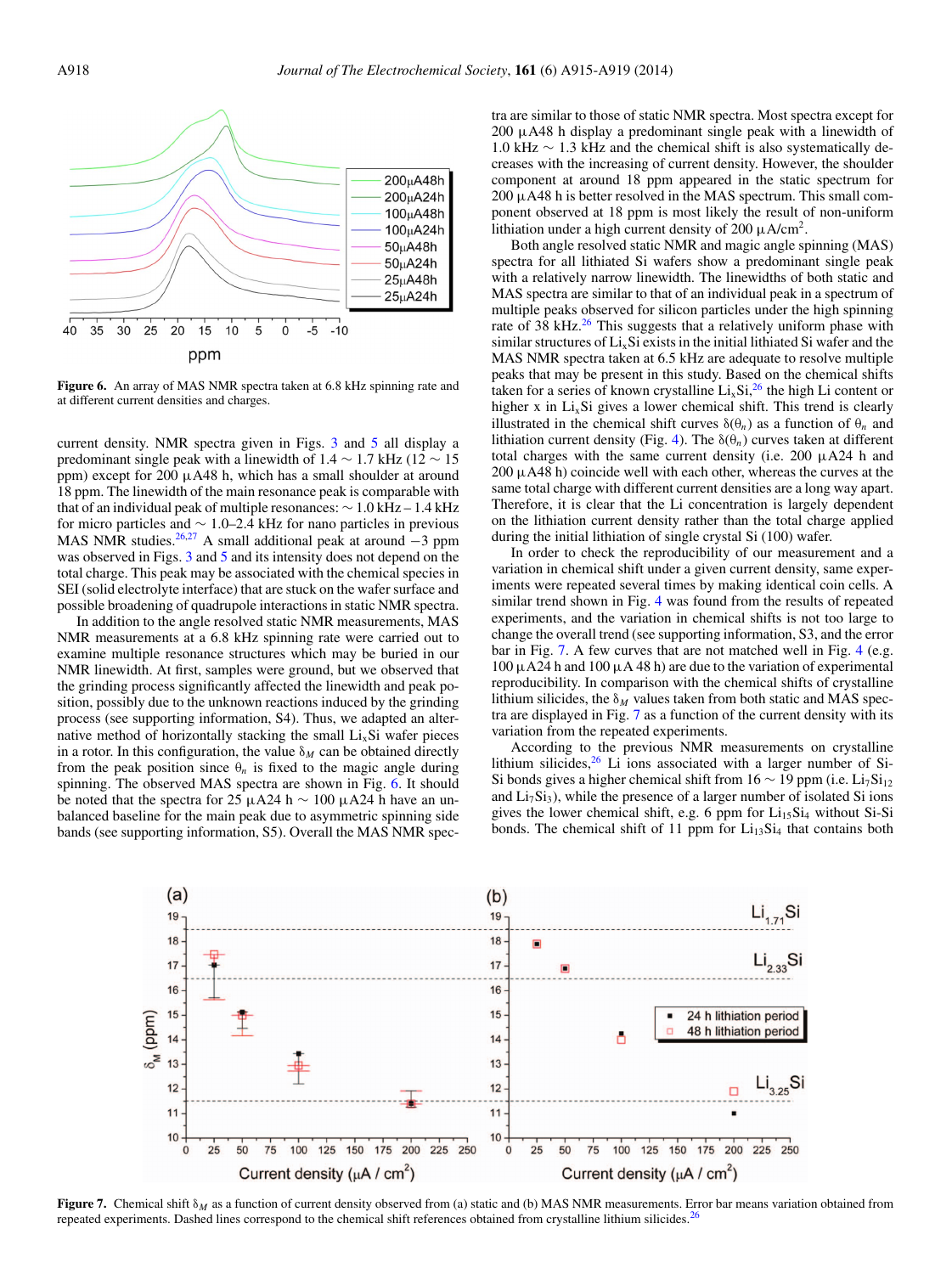<span id="page-3-0"></span>

**Figure 6.** An array of MAS NMR spectra taken at 6.8 kHz spinning rate and at different current densities and charges.

current density. NMR spectra given in Figs. [3](#page-2-0) and [5](#page-2-2) all display a predominant single peak with a linewidth of 1.4  $\sim$  1.7 kHz (12  $\sim$  15 ppm) except for 200 μA48 h, which has a small shoulder at around 18 ppm. The linewidth of the main resonance peak is comparable with that of an individual peak of multiple resonances: ∼ 1.0 kHz – 1.4 kHz for micro particles and ∼ 1.0–2.4 kHz for nano particles in previous MAS NMR studies.<sup>26[,27](#page-4-14)</sup> A small additional peak at around −3 ppm was observed in Figs. [3](#page-2-0) and [5](#page-2-2) and its intensity does not depend on the total charge. This peak may be associated with the chemical species in SEI (solid electrolyte interface) that are stuck on the wafer surface and possible broadening of quadrupole interactions in static NMR spectra.

In addition to the angle resolved static NMR measurements, MAS NMR measurements at a 6.8 kHz spinning rate were carried out to examine multiple resonance structures which may be buried in our NMR linewidth. At first, samples were ground, but we observed that the grinding process significantly affected the linewidth and peak position, possibly due to the unknown reactions induced by the grinding process (see supporting information, S4). Thus, we adapted an alternative method of horizontally stacking the small  $Li<sub>x</sub>Si$  wafer pieces in a rotor. In this configuration, the value  $\delta_M$  can be obtained directly from the peak position since  $\theta_n$  is fixed to the magic angle during spinning. The observed MAS spectra are shown in Fig. [6.](#page-3-0) It should be noted that the spectra for 25 μA24 h  $\sim$  100 μA24 h have an unbalanced baseline for the main peak due to asymmetric spinning side bands (see supporting information, S5). Overall the MAS NMR spectra are similar to those of static NMR spectra. Most spectra except for 200 μA48 h display a predominant single peak with a linewidth of 1.0 kHz ∼ 1.3 kHz and the chemical shift is also systematically decreases with the increasing of current density. However, the shoulder component at around 18 ppm appeared in the static spectrum for  $200 \mu A48$  h is better resolved in the MAS spectrum. This small component observed at 18 ppm is most likely the result of non-uniform lithiation under a high current density of 200  $\mu$ A/cm<sup>2</sup>.

Both angle resolved static NMR and magic angle spinning (MAS) spectra for all lithiated Si wafers show a predominant single peak with a relatively narrow linewidth. The linewidths of both static and MAS spectra are similar to that of an individual peak in a spectrum of multiple peaks observed for silicon particles under the high spinning rate of 38 kHz.<sup>[26](#page-4-12)</sup> This suggests that a relatively uniform phase with similar structures of  $Li<sub>x</sub>Si$  exists in the initial lithiated Si wafer and the MAS NMR spectra taken at 6.5 kHz are adequate to resolve multiple peaks that may be present in this study. Based on the chemical shifts taken for a series of known crystalline  $Li_xSi$ ,<sup>26</sup> the high Li content or higher x in  $Li<sub>x</sub>Si$  gives a lower chemical shift. This trend is clearly illustrated in the chemical shift curves  $\delta(\theta_n)$  as a function of  $\theta_n$  and lithiation current density (Fig. [4\)](#page-2-1). The  $\delta(\theta_n)$  curves taken at different total charges with the same current density (i.e. 200 μA24 h and  $200 \mu A48$  h) coincide well with each other, whereas the curves at the same total charge with different current densities are a long way apart. Therefore, it is clear that the Li concentration is largely dependent on the lithiation current density rather than the total charge applied during the initial lithiation of single crystal Si (100) wafer.

In order to check the reproducibility of our measurement and a variation in chemical shift under a given current density, same experiments were repeated several times by making identical coin cells. A similar trend shown in Fig. [4](#page-2-1) was found from the results of repeated experiments, and the variation in chemical shifts is not too large to change the overall trend (see supporting information, S3, and the error bar in Fig. [7.](#page-3-1) A few curves that are not matched well in Fig. [4](#page-2-1) (e.g.  $100 \mu A24$  h and  $100 \mu A48$  h) are due to the variation of experimental reproducibility. In comparison with the chemical shifts of crystalline lithium silicides, the  $\delta_M$  values taken from both static and MAS spectra are displayed in Fig. [7](#page-3-1) as a function of the current density with its variation from the repeated experiments.

According to the previous NMR measurements on crystalline lithium silicides, $26$  Li ions associated with a larger number of Si-Si bonds gives a higher chemical shift from 16  $\sim$  19 ppm (i.e. Li<sub>7</sub>Si<sub>12</sub>) and  $Li<sub>7</sub>Si<sub>3</sub>$ ), while the presence of a larger number of isolated Si ions gives the lower chemical shift, e.g. 6 ppm for  $Li<sub>15</sub>Si<sub>4</sub>$  without Si-Si bonds. The chemical shift of 11 ppm for  $Li<sub>13</sub>Si<sub>4</sub>$  that contains both

<span id="page-3-1"></span>

**Figure 7.** Chemical shift δ*<sup>M</sup>* as a function of current density observed from (a) static and (b) MAS NMR measurements. Error bar means variation obtained from repeated experiments. Dashed lines correspond to the chemical shift references obtained from crystalline lithium silicides.<sup>[26](#page-4-12)</sup>